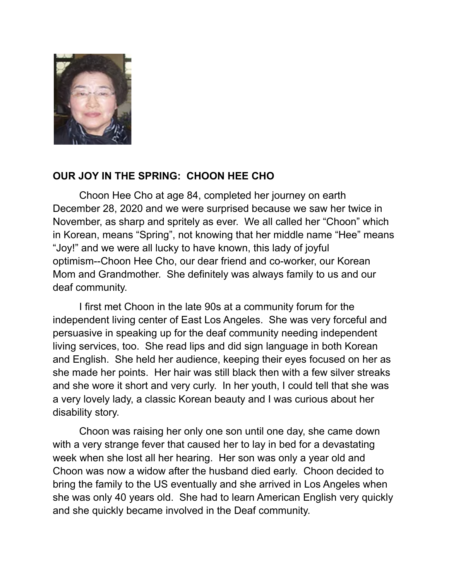

## **OUR JOY IN THE SPRING: CHOON HEE CHO**

Choon Hee Cho at age 84, completed her journey on earth December 28, 2020 and we were surprised because we saw her twice in November, as sharp and spritely as ever. We all called her "Choon" which in Korean, means "Spring", not knowing that her middle name "Hee" means "Joy!" and we were all lucky to have known, this lady of joyful optimism--Choon Hee Cho, our dear friend and co-worker, our Korean Mom and Grandmother. She definitely was always family to us and our deaf community.

I first met Choon in the late 90s at a community forum for the independent living center of East Los Angeles. She was very forceful and persuasive in speaking up for the deaf community needing independent living services, too. She read lips and did sign language in both Korean and English. She held her audience, keeping their eyes focused on her as she made her points. Her hair was still black then with a few silver streaks and she wore it short and very curly. In her youth, I could tell that she was a very lovely lady, a classic Korean beauty and I was curious about her disability story.

Choon was raising her only one son until one day, she came down with a very strange fever that caused her to lay in bed for a devastating week when she lost all her hearing. Her son was only a year old and Choon was now a widow after the husband died early. Choon decided to bring the family to the US eventually and she arrived in Los Angeles when she was only 40 years old. She had to learn American English very quickly and she quickly became involved in the Deaf community.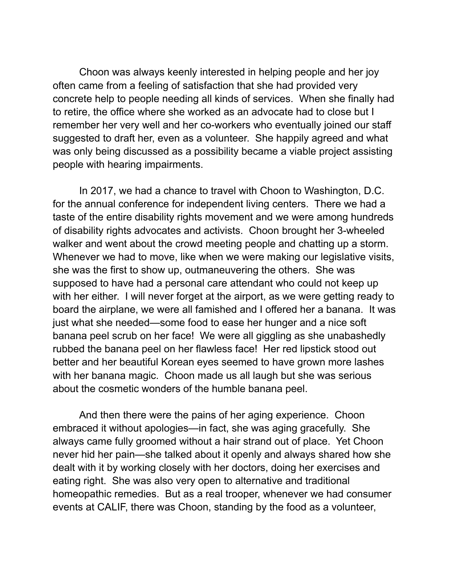Choon was always keenly interested in helping people and her joy often came from a feeling of satisfaction that she had provided very concrete help to people needing all kinds of services. When she finally had to retire, the office where she worked as an advocate had to close but I remember her very well and her co-workers who eventually joined our staff suggested to draft her, even as a volunteer. She happily agreed and what was only being discussed as a possibility became a viable project assisting people with hearing impairments.

In 2017, we had a chance to travel with Choon to Washington, D.C. for the annual conference for independent living centers. There we had a taste of the entire disability rights movement and we were among hundreds of disability rights advocates and activists. Choon brought her 3-wheeled walker and went about the crowd meeting people and chatting up a storm. Whenever we had to move, like when we were making our legislative visits, she was the first to show up, outmaneuvering the others. She was supposed to have had a personal care attendant who could not keep up with her either. I will never forget at the airport, as we were getting ready to board the airplane, we were all famished and I offered her a banana. It was just what she needed—some food to ease her hunger and a nice soft banana peel scrub on her face! We were all giggling as she unabashedly rubbed the banana peel on her flawless face! Her red lipstick stood out better and her beautiful Korean eyes seemed to have grown more lashes with her banana magic. Choon made us all laugh but she was serious about the cosmetic wonders of the humble banana peel.

And then there were the pains of her aging experience. Choon embraced it without apologies—in fact, she was aging gracefully. She always came fully groomed without a hair strand out of place. Yet Choon never hid her pain—she talked about it openly and always shared how she dealt with it by working closely with her doctors, doing her exercises and eating right. She was also very open to alternative and traditional homeopathic remedies. But as a real trooper, whenever we had consumer events at CALIF, there was Choon, standing by the food as a volunteer,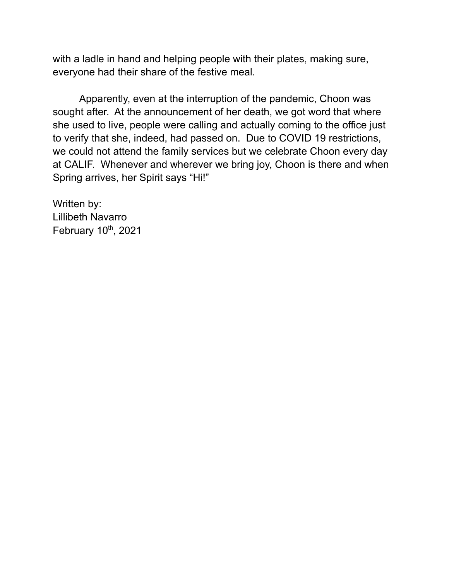with a ladle in hand and helping people with their plates, making sure, everyone had their share of the festive meal.

Apparently, even at the interruption of the pandemic, Choon was sought after. At the announcement of her death, we got word that where she used to live, people were calling and actually coming to the office just to verify that she, indeed, had passed on. Due to COVID 19 restrictions, we could not attend the family services but we celebrate Choon every day at CALIF. Whenever and wherever we bring joy, Choon is there and when Spring arrives, her Spirit says "Hi!"

Written by: Lillibeth Navarro February 10<sup>th</sup>, 2021